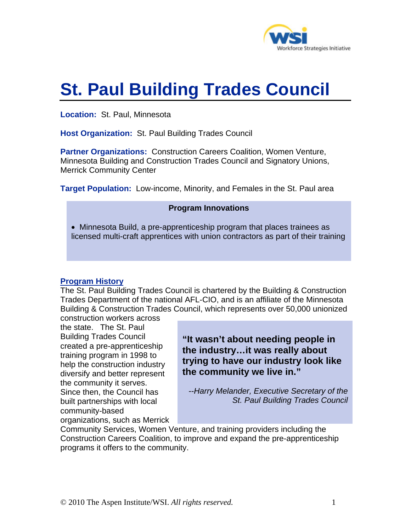

# **St. Paul Building Trades Council**

**Location:** St. Paul, Minnesota

**Host Organization:** St. Paul Building Trades Council

**Partner Organizations:** Construction Careers Coalition, Women Venture, Minnesota Building and Construction Trades Council and Signatory Unions, Merrick Community Center

**Target Population:** Low-income, Minority, and Females in the St. Paul area

## **Program Innovations**

• Minnesota Build, a pre-apprenticeship program that places trainees as licensed multi-craft apprentices with union contractors as part of their training

# **Program History**

The St. Paul Building Trades Council is chartered by the Building & Construction Trades Department of the national AFL-CIO, and is an affiliate of the Minnesota Building & Construction Trades Council, which represents over 50,000 unionized construction workers across

the state. The St. Paul Building Trades Council created a pre-apprenticeship training program in 1998 to help the construction industry diversify and better represent the community it serves. Since then, the Council has built partnerships with local community-based organizations, such as Merrick

**"It wasn't about needing people in the industry…it was really about trying to have our industry look like the community we live in."** 

*--Harry Melander, Executive Secretary of the St. Paul Building Trades Council* 

Community Services, Women Venture, and training providers including the Construction Careers Coalition, to improve and expand the pre-apprenticeship programs it offers to the community.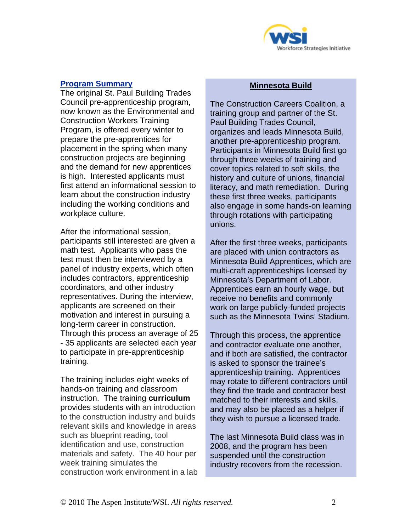

# **Program Summary**

The original St. Paul Building Trades Council pre-apprenticeship program, now known as the Environmental and Construction Workers Training Program, is offered every winter to prepare the pre-apprentices for placement in the spring when many construction projects are beginning and the demand for new apprentices is high. Interested applicants must first attend an informational session to learn about the construction industry including the working conditions and workplace culture.

After the informational session, participants still interested are given a math test. Applicants who pass the test must then be interviewed by a panel of industry experts, which often includes contractors, apprenticeship coordinators, and other industry representatives. During the interview, applicants are screened on their motivation and interest in pursuing a long-term career in construction. Through this process an average of 25 - 35 applicants are selected each year to participate in pre-apprenticeship training.

The training includes eight weeks of hands-on training and classroom instruction. The training **curriculum** provides students with an introduction to the construction industry and builds relevant skills and knowledge in areas such as blueprint reading, tool identification and use, construction materials and safety. The 40 hour per week training simulates the construction work environment in a lab

## **Minnesota Build**

The Construction Careers Coalition, a training group and partner of the St. Paul Building Trades Council, organizes and leads Minnesota Build, another pre-apprenticeship program. Participants in Minnesota Build first go through three weeks of training and cover topics related to soft skills, the history and culture of unions, financial literacy, and math remediation. During these first three weeks, participants also engage in some hands-on learning through rotations with participating unions.

After the first three weeks, participants are placed with union contractors as Minnesota Build Apprentices, which are multi-craft apprenticeships licensed by Minnesota's Department of Labor. Apprentices earn an hourly wage, but receive no benefits and commonly work on large publicly-funded projects such as the Minnesota Twins' Stadium.

Through this process, the apprentice and contractor evaluate one another, and if both are satisfied, the contractor is asked to sponsor the trainee's apprenticeship training. Apprentices may rotate to different contractors until they find the trade and contractor best matched to their interests and skills, and may also be placed as a helper if they wish to pursue a licensed trade.

The last Minnesota Build class was in 2008, and the program has been suspended until the construction industry recovers from the recession.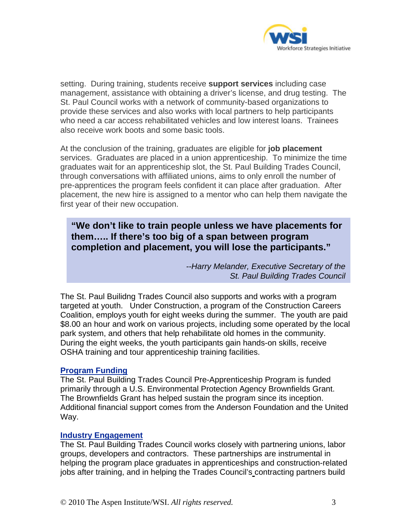

setting. During training, students receive **support services** including case management, assistance with obtaining a driver's license, and drug testing. The St. Paul Council works with a network of community-based organizations to provide these services and also works with local partners to help participants who need a car access rehabilitated vehicles and low interest loans. Trainees also receive work boots and some basic tools.

At the conclusion of the training, graduates are eligible for **job placement** services. Graduates are placed in a union apprenticeship. To minimize the time graduates wait for an apprenticeship slot, the St. Paul Building Trades Council, through conversations with affiliated unions, aims to only enroll the number of pre-apprentices the program feels confident it can place after graduation. After placement, the new hire is assigned to a mentor who can help them navigate the first year of their new occupation.

**"We don't like to train people unless we have placements for them….. If there's too big of a span between program completion and placement, you will lose the participants."** 

> *--Harry Melander, Executive Secretary of the St. Paul Building Trades Council*

The St. Paul Builidng Trades Council also supports and works with a program targeted at youth.Under Construction, a program of the Construction Careers Coalition, employs youth for eight weeks during the summer. The youth are paid \$8.00 an hour and work on various projects, including some operated by the local park system, and others that help rehabilitate old homes in the community. During the eight weeks, the youth participants gain hands-on skills, receive OSHA training and tour apprenticeship training facilities.

### **Program Funding**

The St. Paul Building Trades Council Pre-Apprenticeship Program is funded primarily through a U.S. Environmental Protection Agency Brownfields Grant. The Brownfields Grant has helped sustain the program since its inception. Additional financial support comes from the Anderson Foundation and the United Way.

### **Industry Engagement**

The St. Paul Building Trades Council works closely with partnering unions, labor groups, developers and contractors. These partnerships are instrumental in helping the program place graduates in apprenticeships and construction-related jobs after training, and in helping the Trades Council's contracting partners build